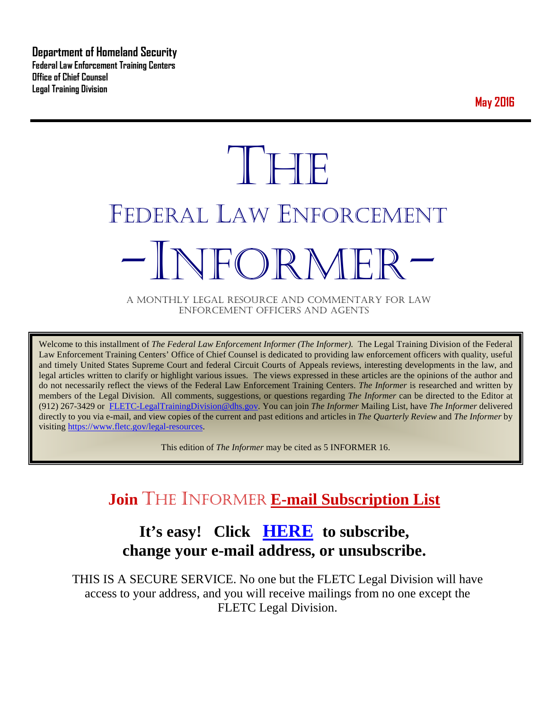**Department of Homeland Security Federal Law Enforcement Training Centers Office of Chief Counsel Legal Training Division** 

**May 2016**

# **THE** FEDERAL LAW ENFORCEMENT -INFORMER- A MONTHLY LEGAL RESOURCE AND COMMENTARY FOR LAW

ENFORCEMENT OFFICERS AND AGENTS

Welcome to this installment of *The Federal Law Enforcement Informer (The Informer).* The Legal Training Division of the Federal Law Enforcement Training Centers' Office of Chief Counsel is dedicated to providing law enforcement officers with quality, useful and timely United States Supreme Court and federal Circuit Courts of Appeals reviews, interesting developments in the law, and legal articles written to clarify or highlight various issues. The views expressed in these articles are the opinions of the author and do not necessarily reflect the views of the Federal Law Enforcement Training Centers. *The Informer* is researched and written by members of the Legal Division. All comments, suggestions, or questions regarding *The Informer* can be directed to the Editor at (912) 267-3429 or [FLETC-LegalTrainingDivision@dhs.gov.](mailto:FLETC-LegalTrainingDivision@dhs.gov) You can join *The Informer* Mailing List, have *The Informer* delivered directly to you via e-mail, and view copies of the current and past editions and articles in *The Quarterly Review* and *The Informer* by visiting [https://www.fletc.gov/legal-resources.](https://www.fletc.gov/legal-resources) 

This edition of *The Informer* may be cited as 5 INFORMER 16.

# **Join** THE INFORMER **E-mail Subscription List**

# **It's easy! Click [HERE](http://peach.ease.lsoft.com/scripts/wa.exe?SUBED1=fletclgd&A=1) to subscribe, change your e-mail address, or unsubscribe.**

THIS IS A SECURE SERVICE. No one but the FLETC Legal Division will have access to your address, and you will receive mailings from no one except the FLETC Legal Division.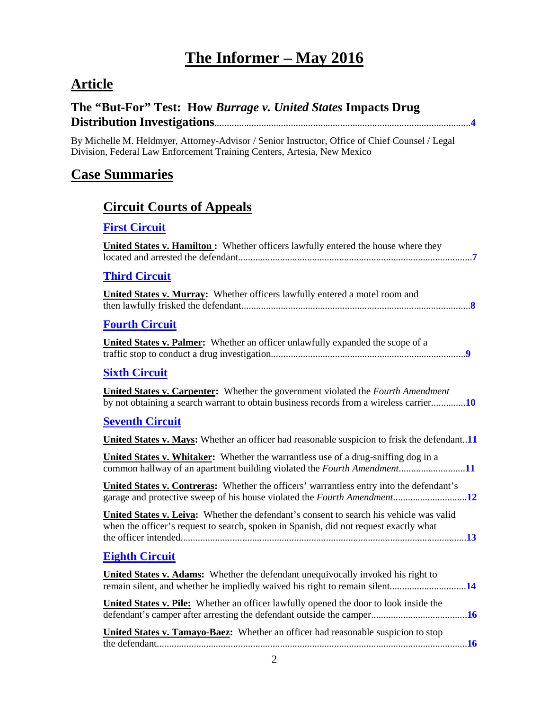# **The Informer – May 2016**

# **Article**

#### **The "But-For" Test: How** *Burrage v. United States* **Impacts Drug Distribution Investigations**........................................................................................................**[4](#page-3-0)**

By Michelle M. Heldmyer, Attorney-Advisor / Senior Instructor, Office of Chief Counsel / Legal Division, Federal Law Enforcement Training Centers, Artesia, New Mexico

# **Case Summaries**

## **[Circuit Courts of Appeals](#page-6-0)**

#### **[First Circuit](#page-6-1)**

| <b>United States v. Hamilton:</b> Whether officers lawfully entered the house where they |  |
|------------------------------------------------------------------------------------------|--|
|                                                                                          |  |
| <b>Third Circuit</b>                                                                     |  |

| United States v. Murray: Whether officers lawfully entered a motel room and |  |
|-----------------------------------------------------------------------------|--|
|                                                                             |  |
|                                                                             |  |

#### **[Fourth Circuit](#page-8-0)**

| <b>United States v. Palmer:</b> Whether an officer unlawfully expanded the scope of a |  |
|---------------------------------------------------------------------------------------|--|
|                                                                                       |  |

#### **[Sixth Circuit](#page-9-0)**

**United States v. Carpenter:** Whether the government violated the *Fourth Amendment* by not obtaining a search warrant to obtain business records from a wireless carrier..............**[10](#page-9-1)**

#### **[Seventh Circuit](#page-10-0)**

| United States v. Mays: Whether an officer had reasonable suspicion to frisk the defendant11                                                                                             |  |
|-----------------------------------------------------------------------------------------------------------------------------------------------------------------------------------------|--|
| <b>United States v. Whitaker:</b> Whether the warrantless use of a drug-sniffing dog in a<br>common hallway of an apartment building violated the <i>Fourth Amendment</i> 11            |  |
| <b>United States v. Contreras:</b> Whether the officers' warrantless entry into the defendant's                                                                                         |  |
| <b>United States v. Leiva:</b> Whether the defendant's consent to search his vehicle was valid<br>when the officer's request to search, spoken in Spanish, did not request exactly what |  |
| <b>Eighth Circuit</b>                                                                                                                                                                   |  |
| <b>United States v. Adams:</b> Whether the defendant unequivocally invoked his right to                                                                                                 |  |
| <b>United States v. Pile:</b> Whether an officer lawfully opened the door to look inside the                                                                                            |  |
| United States v. Tamayo-Baez: Whether an officer had reasonable suspicion to stop                                                                                                       |  |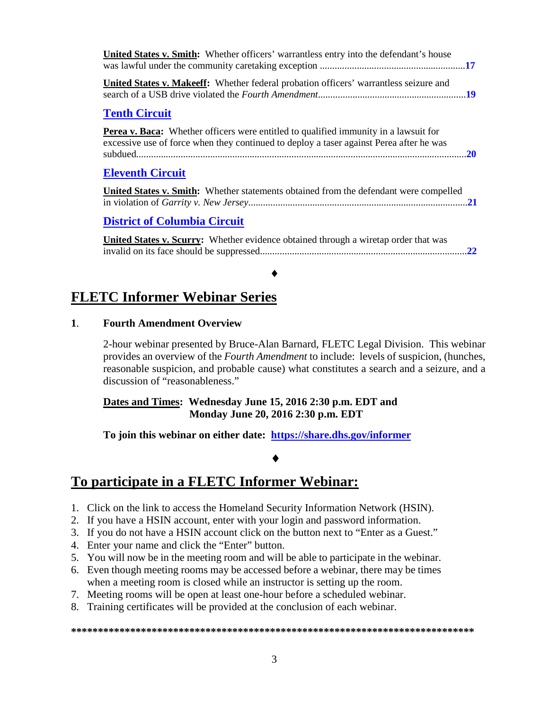| <b>United States v. Smith:</b> Whether officers' warrantless entry into the defendant's house                                                                                          |    |
|----------------------------------------------------------------------------------------------------------------------------------------------------------------------------------------|----|
| <b>United States v. Makeeff:</b> Whether federal probation officers' warrantless seizure and                                                                                           |    |
| <b>Tenth Circuit</b>                                                                                                                                                                   |    |
| <b>Perea v. Baca:</b> Whether officers were entitled to qualified immunity in a lawsuit for<br>excessive use of force when they continued to deploy a taser against Perea after he was |    |
| <b>Eleventh Circuit</b>                                                                                                                                                                |    |
| <b>United States v. Smith:</b> Whether statements obtained from the defendant were compelled                                                                                           |    |
| <b>District of Columbia Circuit</b>                                                                                                                                                    |    |
| <b>United States v. Scurry:</b> Whether evidence obtained through a wiretap order that was                                                                                             | 22 |
|                                                                                                                                                                                        |    |

# **FLETC Informer Webinar Series**

#### **1**. **Fourth Amendment Overview**

2-hour webinar presented by Bruce-Alan Barnard, FLETC Legal Division. This webinar provides an overview of the *Fourth Amendment* to include: levels of suspicion, (hunches, reasonable suspicion, and probable cause) what constitutes a search and a seizure, and a discussion of "reasonableness."

#### **Dates and Times: Wednesday June 15, 2016 2:30 p.m. EDT and Monday June 20, 2016 2:30 p.m. EDT**

 $\bullet$ 

**To join this webinar on either date: <https://share.dhs.gov/informer>**

#### ♦

### **To participate in a FLETC Informer Webinar:**

- 1. Click on the link to access the Homeland Security Information Network (HSIN).
- 2. If you have a HSIN account, enter with your login and password information.
- 3. If you do not have a HSIN account click on the button next to "Enter as a Guest."
- 4. Enter your name and click the "Enter" button.
- 5. You will now be in the meeting room and will be able to participate in the webinar.
- 6. Even though meeting rooms may be accessed before a webinar, there may be times when a meeting room is closed while an instructor is setting up the room.
- 7. Meeting rooms will be open at least one-hour before a scheduled webinar.
- 8. Training certificates will be provided at the conclusion of each webinar.

#### **\*\*\*\*\*\*\*\*\*\*\*\*\*\*\*\*\*\*\*\*\*\*\*\*\*\*\*\*\*\*\*\*\*\*\*\*\*\*\*\*\*\*\*\*\*\*\*\*\*\*\*\*\*\*\*\*\*\*\*\*\*\*\*\*\*\*\*\*\*\*\*\*\*\*\***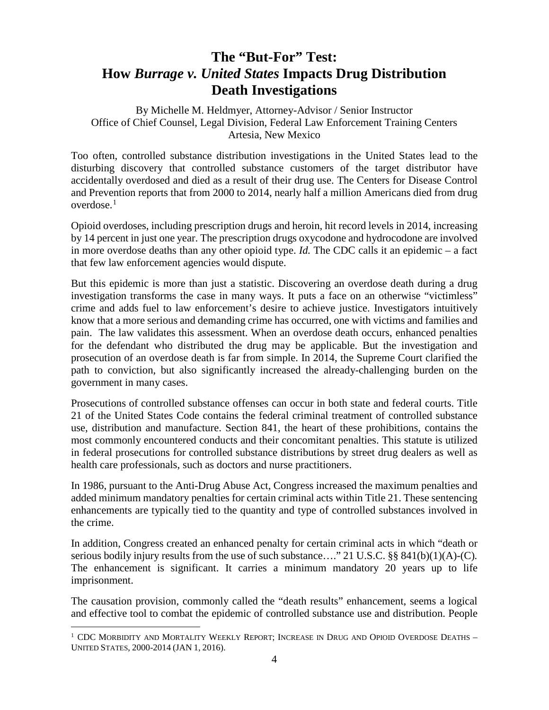# <span id="page-3-0"></span>**The "But-For" Test: How** *Burrage v. United States* **Impacts Drug Distribution Death Investigations**

By Michelle M. Heldmyer, Attorney-Advisor / Senior Instructor Office of Chief Counsel, Legal Division, Federal Law Enforcement Training Centers Artesia, New Mexico

Too often, controlled substance distribution investigations in the United States lead to the disturbing discovery that controlled substance customers of the target distributor have accidentally overdosed and died as a result of their drug use. The Centers for Disease Control and Prevention reports that from 2000 to 2014, nearly half a million Americans died from drug overdose.[1](#page-3-1)

Opioid overdoses, including prescription drugs and heroin, hit record levels in 2014, increasing by 14 percent in just one year. The prescription drugs oxycodone and hydrocodone are involved in more overdose deaths than any other opioid type. *Id.* The CDC calls it an epidemic – a fact that few law enforcement agencies would dispute.

But this epidemic is more than just a statistic. Discovering an overdose death during a drug investigation transforms the case in many ways. It puts a face on an otherwise "victimless" crime and adds fuel to law enforcement's desire to achieve justice. Investigators intuitively know that a more serious and demanding crime has occurred, one with victims and families and pain. The law validates this assessment. When an overdose death occurs, enhanced penalties for the defendant who distributed the drug may be applicable. But the investigation and prosecution of an overdose death is far from simple. In 2014, the Supreme Court clarified the path to conviction, but also significantly increased the already-challenging burden on the government in many cases.

Prosecutions of controlled substance offenses can occur in both state and federal courts. Title 21 of the United States Code contains the federal criminal treatment of controlled substance use, distribution and manufacture. Section 841, the heart of these prohibitions, contains the most commonly encountered conducts and their concomitant penalties. This statute is utilized in federal prosecutions for controlled substance distributions by street drug dealers as well as health care professionals, such as doctors and nurse practitioners.

In 1986, pursuant to the Anti-Drug Abuse Act, Congress increased the maximum penalties and added minimum mandatory penalties for certain criminal acts within Title 21. These sentencing enhancements are typically tied to the quantity and type of controlled substances involved in the crime.

In addition, Congress created an enhanced penalty for certain criminal acts in which "death or serious bodily injury results from the use of such substance…." 21 U.S.C. §§ 841(b)(1)(A)-(C)*.* The enhancement is significant. It carries a minimum mandatory 20 years up to life imprisonment.

The causation provision, commonly called the "death results" enhancement, seems a logical and effective tool to combat the epidemic of controlled substance use and distribution. People

<span id="page-3-1"></span> $1$  CDC MORBIDITY AND MORTALITY WEEKLY REPORT; INCREASE IN DRUG AND OPIOID OVERDOSE DEATHS -UNITED STATES, 2000-2014 (JAN 1, 2016).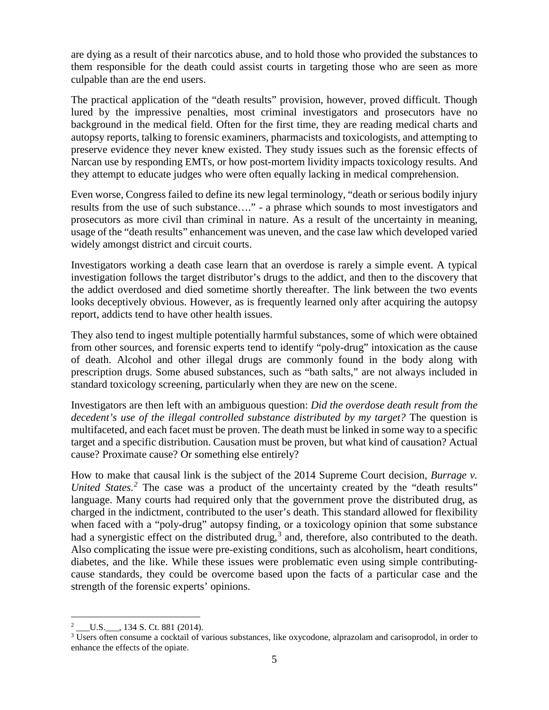are dying as a result of their narcotics abuse, and to hold those who provided the substances to them responsible for the death could assist courts in targeting those who are seen as more culpable than are the end users.

The practical application of the "death results" provision, however, proved difficult. Though lured by the impressive penalties, most criminal investigators and prosecutors have no background in the medical field. Often for the first time, they are reading medical charts and autopsy reports, talking to forensic examiners, pharmacists and toxicologists, and attempting to preserve evidence they never knew existed. They study issues such as the forensic effects of Narcan use by responding EMTs, or how post-mortem lividity impacts toxicology results. And they attempt to educate judges who were often equally lacking in medical comprehension.

Even worse, Congress failed to define its new legal terminology, "death or serious bodily injury results from the use of such substance…." - a phrase which sounds to most investigators and prosecutors as more civil than criminal in nature. As a result of the uncertainty in meaning, usage of the "death results" enhancement was uneven, and the case law which developed varied widely amongst district and circuit courts.

Investigators working a death case learn that an overdose is rarely a simple event. A typical investigation follows the target distributor's drugs to the addict, and then to the discovery that the addict overdosed and died sometime shortly thereafter. The link between the two events looks deceptively obvious. However, as is frequently learned only after acquiring the autopsy report, addicts tend to have other health issues.

They also tend to ingest multiple potentially harmful substances, some of which were obtained from other sources, and forensic experts tend to identify "poly-drug" intoxication as the cause of death. Alcohol and other illegal drugs are commonly found in the body along with prescription drugs. Some abused substances, such as "bath salts," are not always included in standard toxicology screening, particularly when they are new on the scene.

Investigators are then left with an ambiguous question: *Did the overdose death result from the decedent's use of the illegal controlled substance distributed by my target?* The question is multifaceted, and each facet must be proven. The death must be linked in some way to a specific target and a specific distribution. Causation must be proven, but what kind of causation? Actual cause? Proximate cause? Or something else entirely?

How to make that causal link is the subject of the 2014 Supreme Court decision, *Burrage v. United States.*<sup>[2](#page-4-0)</sup> The case was a product of the uncertainty created by the "death results" language. Many courts had required only that the government prove the distributed drug, as charged in the indictment, contributed to the user's death. This standard allowed for flexibility when faced with a "poly-drug" autopsy finding, or a toxicology opinion that some substance had a synergistic effect on the distributed drug,<sup>[3](#page-4-1)</sup> and, therefore, also contributed to the death. Also complicating the issue were pre-existing conditions, such as alcoholism, heart conditions, diabetes, and the like. While these issues were problematic even using simple contributingcause standards, they could be overcome based upon the facts of a particular case and the strength of the forensic experts' opinions.

<span id="page-4-0"></span><sup>&</sup>lt;sup>2</sup> \_\_\_\_\_\_\_\_\_\_\_\_\_\_\_\_, 134 S. Ct. 881 (2014).

<span id="page-4-1"></span><sup>&</sup>lt;sup>3</sup> Users often consume a cocktail of various substances, like oxycodone, alprazolam and carisoprodol, in order to enhance the effects of the opiate.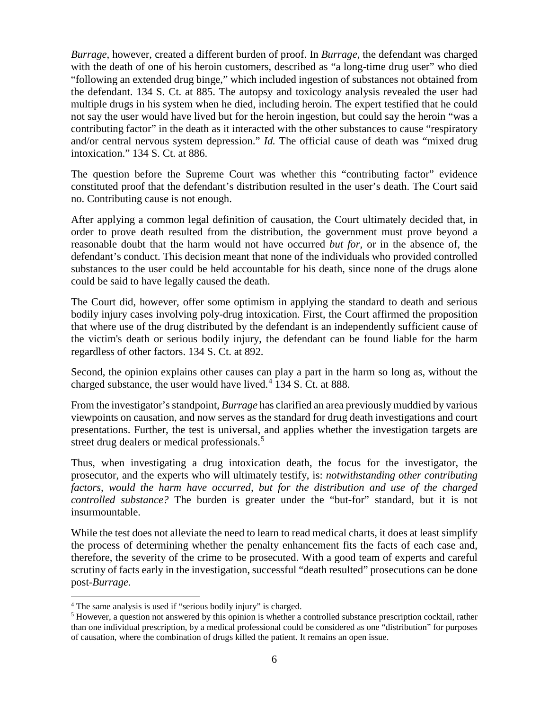*Burrage*, however, created a different burden of proof. In *Burrage*, the defendant was charged with the death of one of his heroin customers, described as "a long-time drug user" who died "following an extended drug binge," which included ingestion of substances not obtained from the defendant. 134 S. Ct. at 885. The autopsy and toxicology analysis revealed the user had multiple drugs in his system when he died, including heroin. The expert testified that he could not say the user would have lived but for the heroin ingestion, but could say the heroin "was a contributing factor" in the death as it interacted with the other substances to cause "respiratory and/or central nervous system depression." *Id*. The official cause of death was "mixed drug intoxication." 134 S. Ct. at 886.

The question before the Supreme Court was whether this "contributing factor" evidence constituted proof that the defendant's distribution resulted in the user's death. The Court said no. Contributing cause is not enough.

After applying a common legal definition of causation, the Court ultimately decided that, in order to prove death resulted from the distribution, the government must prove beyond a reasonable doubt that the harm would not have occurred *but for,* or in the absence of, the defendant's conduct. This decision meant that none of the individuals who provided controlled substances to the user could be held accountable for his death, since none of the drugs alone could be said to have legally caused the death.

The Court did, however, offer some optimism in applying the standard to death and serious bodily injury cases involving poly-drug intoxication. First, the Court affirmed the proposition that where use of the drug distributed by the defendant is an independently sufficient cause of the victim's death or serious bodily injury, the defendant can be found liable for the harm regardless of other factors. 134 S. Ct. at 892.

Second, the opinion explains other causes can play a part in the harm so long as, without the charged substance, the user would have lived.<sup>[4](#page-5-0)</sup> 134 S. Ct. at 888.

From the investigator's standpoint, *Burrage* has clarified an area previously muddied by various viewpoints on causation, and now serves as the standard for drug death investigations and court presentations. Further, the test is universal, and applies whether the investigation targets are street drug dealers or medical professionals.<sup>[5](#page-5-1)</sup>

Thus, when investigating a drug intoxication death, the focus for the investigator, the prosecutor, and the experts who will ultimately testify, is: *notwithstanding other contributing factors, would the harm have occurred, but for the distribution and use of the charged controlled substance?* The burden is greater under the "but-for" standard, but it is not insurmountable.

While the test does not alleviate the need to learn to read medical charts, it does at least simplify the process of determining whether the penalty enhancement fits the facts of each case and, therefore, the severity of the crime to be prosecuted. With a good team of experts and careful scrutiny of facts early in the investigation, successful "death resulted" prosecutions can be done post-*Burrage.*

<span id="page-5-0"></span> <sup>4</sup> The same analysis is used if "serious bodily injury" is charged.

<span id="page-5-1"></span><sup>5</sup> However, a question not answered by this opinion is whether a controlled substance prescription cocktail, rather than one individual prescription, by a medical professional could be considered as one "distribution" for purposes of causation, where the combination of drugs killed the patient. It remains an open issue.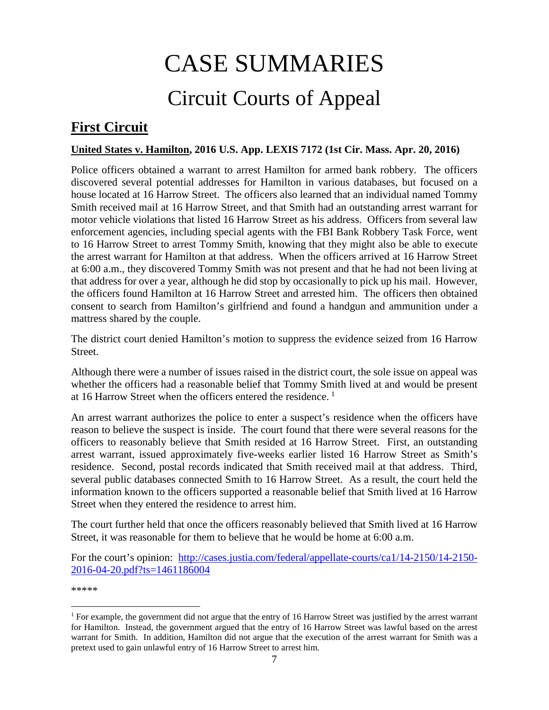# CASE SUMMARIES Circuit Courts of Appeal

# <span id="page-6-1"></span><span id="page-6-0"></span>**First Circuit**

#### <span id="page-6-2"></span>**United States v. Hamilton, 2016 U.S. App. LEXIS 7172 (1st Cir. Mass. Apr. 20, 2016)**

Police officers obtained a warrant to arrest Hamilton for armed bank robbery. The officers discovered several potential addresses for Hamilton in various databases, but focused on a house located at 16 Harrow Street. The officers also learned that an individual named Tommy Smith received mail at 16 Harrow Street, and that Smith had an outstanding arrest warrant for motor vehicle violations that listed 16 Harrow Street as his address. Officers from several law enforcement agencies, including special agents with the FBI Bank Robbery Task Force, went to 16 Harrow Street to arrest Tommy Smith, knowing that they might also be able to execute the arrest warrant for Hamilton at that address. When the officers arrived at 16 Harrow Street at 6:00 a.m., they discovered Tommy Smith was not present and that he had not been living at that address for over a year, although he did stop by occasionally to pick up his mail. However, the officers found Hamilton at 16 Harrow Street and arrested him. The officers then obtained consent to search from Hamilton's girlfriend and found a handgun and ammunition under a mattress shared by the couple.

The district court denied Hamilton's motion to suppress the evidence seized from 16 Harrow Street.

Although there were a number of issues raised in the district court, the sole issue on appeal was whether the officers had a reasonable belief that Tommy Smith lived at and would be present at 16 Harrow Street when the officers entered the residence. [1](#page-6-3)

An arrest warrant authorizes the police to enter a suspect's residence when the officers have reason to believe the suspect is inside. The court found that there were several reasons for the officers to reasonably believe that Smith resided at 16 Harrow Street. First, an outstanding arrest warrant, issued approximately five-weeks earlier listed 16 Harrow Street as Smith's residence. Second, postal records indicated that Smith received mail at that address. Third, several public databases connected Smith to 16 Harrow Street. As a result, the court held the information known to the officers supported a reasonable belief that Smith lived at 16 Harrow Street when they entered the residence to arrest him.

The court further held that once the officers reasonably believed that Smith lived at 16 Harrow Street, it was reasonable for them to believe that he would be home at 6:00 a.m.

For the court's opinion: [http://cases.justia.com/federal/appellate-courts/ca1/14-2150/14-2150-](http://cases.justia.com/federal/appellate-courts/ca1/14-2150/14-2150-2016-04-20.pdf?ts=1461186004) [2016-04-20.pdf?ts=1461186004](http://cases.justia.com/federal/appellate-courts/ca1/14-2150/14-2150-2016-04-20.pdf?ts=1461186004)

<span id="page-6-3"></span><sup>&</sup>lt;sup>1</sup> For example, the government did not argue that the entry of 16 Harrow Street was justified by the arrest warrant for Hamilton. Instead, the government argued that the entry of 16 Harrow Street was lawful based on the arrest warrant for Smith. In addition, Hamilton did not argue that the execution of the arrest warrant for Smith was a pretext used to gain unlawful entry of 16 Harrow Street to arrest him.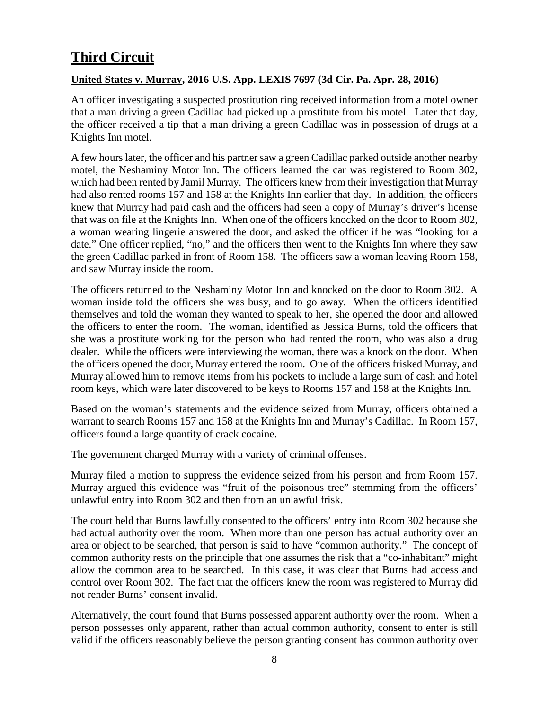# <span id="page-7-0"></span>**Third Circuit**

#### <span id="page-7-1"></span>**United States v. Murray, 2016 U.S. App. LEXIS 7697 (3d Cir. Pa. Apr. 28, 2016)**

An officer investigating a suspected prostitution ring received information from a motel owner that a man driving a green Cadillac had picked up a prostitute from his motel. Later that day, the officer received a tip that a man driving a green Cadillac was in possession of drugs at a Knights Inn motel.

A few hours later, the officer and his partner saw a green Cadillac parked outside another nearby motel, the Neshaminy Motor Inn. The officers learned the car was registered to Room 302, which had been rented by Jamil Murray. The officers knew from their investigation that Murray had also rented rooms 157 and 158 at the Knights Inn earlier that day. In addition, the officers knew that Murray had paid cash and the officers had seen a copy of Murray's driver's license that was on file at the Knights Inn. When one of the officers knocked on the door to Room 302, a woman wearing lingerie answered the door, and asked the officer if he was "looking for a date." One officer replied, "no," and the officers then went to the Knights Inn where they saw the green Cadillac parked in front of Room 158. The officers saw a woman leaving Room 158, and saw Murray inside the room.

The officers returned to the Neshaminy Motor Inn and knocked on the door to Room 302. A woman inside told the officers she was busy, and to go away. When the officers identified themselves and told the woman they wanted to speak to her, she opened the door and allowed the officers to enter the room. The woman, identified as Jessica Burns, told the officers that she was a prostitute working for the person who had rented the room, who was also a drug dealer. While the officers were interviewing the woman, there was a knock on the door. When the officers opened the door, Murray entered the room. One of the officers frisked Murray, and Murray allowed him to remove items from his pockets to include a large sum of cash and hotel room keys, which were later discovered to be keys to Rooms 157 and 158 at the Knights Inn.

Based on the woman's statements and the evidence seized from Murray, officers obtained a warrant to search Rooms 157 and 158 at the Knights Inn and Murray's Cadillac. In Room 157, officers found a large quantity of crack cocaine.

The government charged Murray with a variety of criminal offenses.

Murray filed a motion to suppress the evidence seized from his person and from Room 157. Murray argued this evidence was "fruit of the poisonous tree" stemming from the officers' unlawful entry into Room 302 and then from an unlawful frisk.

The court held that Burns lawfully consented to the officers' entry into Room 302 because she had actual authority over the room. When more than one person has actual authority over an area or object to be searched, that person is said to have "common authority." The concept of common authority rests on the principle that one assumes the risk that a "co-inhabitant" might allow the common area to be searched. In this case, it was clear that Burns had access and control over Room 302. The fact that the officers knew the room was registered to Murray did not render Burns' consent invalid.

Alternatively, the court found that Burns possessed apparent authority over the room. When a person possesses only apparent, rather than actual common authority, consent to enter is still valid if the officers reasonably believe the person granting consent has common authority over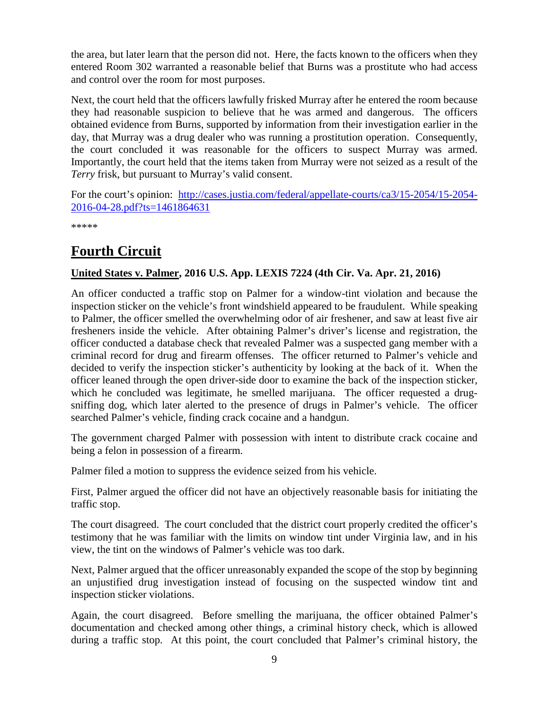the area, but later learn that the person did not. Here, the facts known to the officers when they entered Room 302 warranted a reasonable belief that Burns was a prostitute who had access and control over the room for most purposes.

Next, the court held that the officers lawfully frisked Murray after he entered the room because they had reasonable suspicion to believe that he was armed and dangerous. The officers obtained evidence from Burns, supported by information from their investigation earlier in the day, that Murray was a drug dealer who was running a prostitution operation. Consequently, the court concluded it was reasonable for the officers to suspect Murray was armed. Importantly, the court held that the items taken from Murray were not seized as a result of the *Terry* frisk, but pursuant to Murray's valid consent.

For the court's opinion: [http://cases.justia.com/federal/appellate-courts/ca3/15-2054/15-2054-](http://cases.justia.com/federal/appellate-courts/ca3/15-2054/15-2054-2016-04-28.pdf?ts=1461864631) [2016-04-28.pdf?ts=1461864631](http://cases.justia.com/federal/appellate-courts/ca3/15-2054/15-2054-2016-04-28.pdf?ts=1461864631)

\*\*\*\*\*

# <span id="page-8-0"></span>**Fourth Circuit**

#### <span id="page-8-1"></span>**United States v. Palmer, 2016 U.S. App. LEXIS 7224 (4th Cir. Va. Apr. 21, 2016)**

An officer conducted a traffic stop on Palmer for a window-tint violation and because the inspection sticker on the vehicle's front windshield appeared to be fraudulent. While speaking to Palmer, the officer smelled the overwhelming odor of air freshener, and saw at least five air fresheners inside the vehicle. After obtaining Palmer's driver's license and registration, the officer conducted a database check that revealed Palmer was a suspected gang member with a criminal record for drug and firearm offenses. The officer returned to Palmer's vehicle and decided to verify the inspection sticker's authenticity by looking at the back of it. When the officer leaned through the open driver-side door to examine the back of the inspection sticker, which he concluded was legitimate, he smelled marijuana. The officer requested a drugsniffing dog, which later alerted to the presence of drugs in Palmer's vehicle. The officer searched Palmer's vehicle, finding crack cocaine and a handgun.

The government charged Palmer with possession with intent to distribute crack cocaine and being a felon in possession of a firearm.

Palmer filed a motion to suppress the evidence seized from his vehicle.

First, Palmer argued the officer did not have an objectively reasonable basis for initiating the traffic stop.

The court disagreed. The court concluded that the district court properly credited the officer's testimony that he was familiar with the limits on window tint under Virginia law, and in his view, the tint on the windows of Palmer's vehicle was too dark.

Next, Palmer argued that the officer unreasonably expanded the scope of the stop by beginning an unjustified drug investigation instead of focusing on the suspected window tint and inspection sticker violations.

Again, the court disagreed. Before smelling the marijuana, the officer obtained Palmer's documentation and checked among other things, a criminal history check, which is allowed during a traffic stop. At this point, the court concluded that Palmer's criminal history, the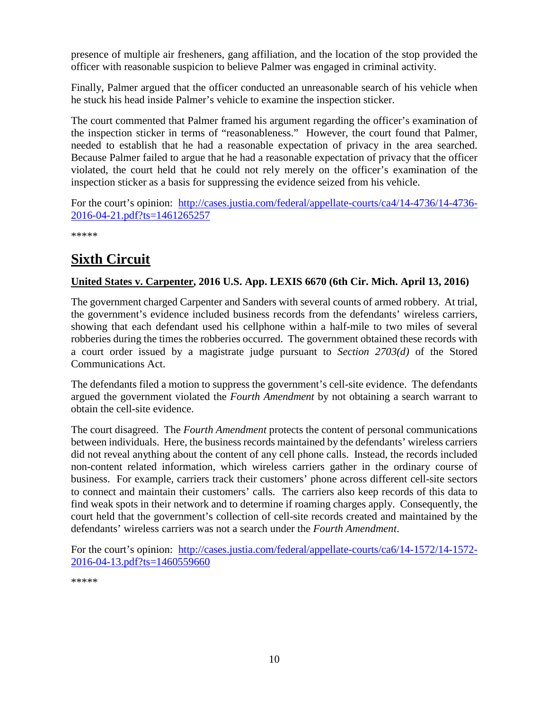presence of multiple air fresheners, gang affiliation, and the location of the stop provided the officer with reasonable suspicion to believe Palmer was engaged in criminal activity.

Finally, Palmer argued that the officer conducted an unreasonable search of his vehicle when he stuck his head inside Palmer's vehicle to examine the inspection sticker.

The court commented that Palmer framed his argument regarding the officer's examination of the inspection sticker in terms of "reasonableness." However, the court found that Palmer, needed to establish that he had a reasonable expectation of privacy in the area searched. Because Palmer failed to argue that he had a reasonable expectation of privacy that the officer violated, the court held that he could not rely merely on the officer's examination of the inspection sticker as a basis for suppressing the evidence seized from his vehicle.

For the court's opinion: [http://cases.justia.com/federal/appellate-courts/ca4/14-4736/14-4736-](http://cases.justia.com/federal/appellate-courts/ca4/14-4736/14-4736-2016-04-21.pdf?ts=1461265257) [2016-04-21.pdf?ts=1461265257](http://cases.justia.com/federal/appellate-courts/ca4/14-4736/14-4736-2016-04-21.pdf?ts=1461265257)

\*\*\*\*\*

# <span id="page-9-0"></span>**Sixth Circuit**

#### <span id="page-9-1"></span>**United States v. Carpenter, 2016 U.S. App. LEXIS 6670 (6th Cir. Mich. April 13, 2016)**

The government charged Carpenter and Sanders with several counts of armed robbery. At trial, the government's evidence included business records from the defendants' wireless carriers, showing that each defendant used his cellphone within a half-mile to two miles of several robberies during the times the robberies occurred. The government obtained these records with a court order issued by a magistrate judge pursuant to *Section 2703(d)* of the Stored Communications Act.

The defendants filed a motion to suppress the government's cell-site evidence. The defendants argued the government violated the *Fourth Amendment* by not obtaining a search warrant to obtain the cell-site evidence.

The court disagreed. The *Fourth Amendment* protects the content of personal communications between individuals. Here, the business records maintained by the defendants' wireless carriers did not reveal anything about the content of any cell phone calls. Instead, the records included non-content related information, which wireless carriers gather in the ordinary course of business. For example, carriers track their customers' phone across different cell-site sectors to connect and maintain their customers' calls. The carriers also keep records of this data to find weak spots in their network and to determine if roaming charges apply. Consequently, the court held that the government's collection of cell-site records created and maintained by the defendants' wireless carriers was not a search under the *Fourth Amendment*.

For the court's opinion: [http://cases.justia.com/federal/appellate-courts/ca6/14-1572/14-1572-](http://cases.justia.com/federal/appellate-courts/ca6/14-1572/14-1572-2016-04-13.pdf?ts=1460559660) [2016-04-13.pdf?ts=1460559660](http://cases.justia.com/federal/appellate-courts/ca6/14-1572/14-1572-2016-04-13.pdf?ts=1460559660)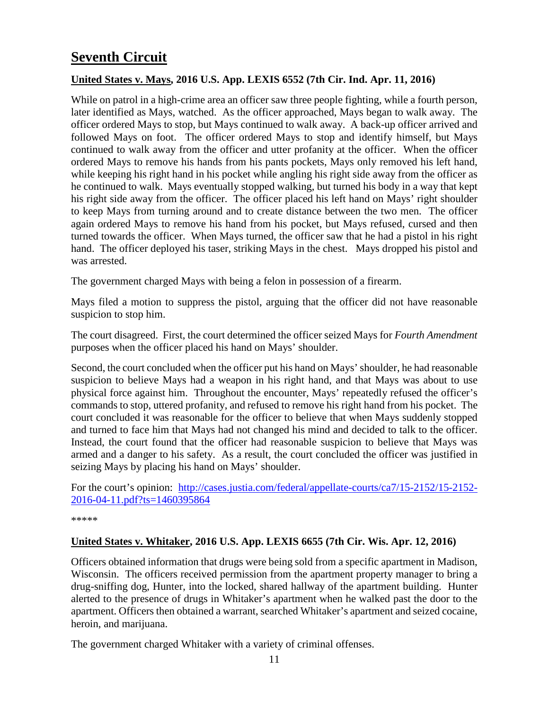# <span id="page-10-0"></span>**Seventh Circuit**

#### <span id="page-10-1"></span>**United States v. Mays, 2016 U.S. App. LEXIS 6552 (7th Cir. Ind. Apr. 11, 2016)**

While on patrol in a high-crime area an officer saw three people fighting, while a fourth person, later identified as Mays, watched. As the officer approached, Mays began to walk away. The officer ordered Mays to stop, but Mays continued to walk away. A back-up officer arrived and followed Mays on foot. The officer ordered Mays to stop and identify himself, but Mays continued to walk away from the officer and utter profanity at the officer. When the officer ordered Mays to remove his hands from his pants pockets, Mays only removed his left hand, while keeping his right hand in his pocket while angling his right side away from the officer as he continued to walk. Mays eventually stopped walking, but turned his body in a way that kept his right side away from the officer. The officer placed his left hand on Mays' right shoulder to keep Mays from turning around and to create distance between the two men. The officer again ordered Mays to remove his hand from his pocket, but Mays refused, cursed and then turned towards the officer. When Mays turned, the officer saw that he had a pistol in his right hand. The officer deployed his taser, striking Mays in the chest. Mays dropped his pistol and was arrested.

The government charged Mays with being a felon in possession of a firearm.

Mays filed a motion to suppress the pistol, arguing that the officer did not have reasonable suspicion to stop him.

The court disagreed. First, the court determined the officer seized Mays for *Fourth Amendment*  purposes when the officer placed his hand on Mays' shoulder.

Second, the court concluded when the officer put his hand on Mays' shoulder, he had reasonable suspicion to believe Mays had a weapon in his right hand, and that Mays was about to use physical force against him. Throughout the encounter, Mays' repeatedly refused the officer's commands to stop, uttered profanity, and refused to remove his right hand from his pocket. The court concluded it was reasonable for the officer to believe that when Mays suddenly stopped and turned to face him that Mays had not changed his mind and decided to talk to the officer. Instead, the court found that the officer had reasonable suspicion to believe that Mays was armed and a danger to his safety. As a result, the court concluded the officer was justified in seizing Mays by placing his hand on Mays' shoulder.

For the court's opinion: [http://cases.justia.com/federal/appellate-courts/ca7/15-2152/15-2152-](http://cases.justia.com/federal/appellate-courts/ca7/15-2152/15-2152-2016-04-11.pdf?ts=1460395864) [2016-04-11.pdf?ts=1460395864](http://cases.justia.com/federal/appellate-courts/ca7/15-2152/15-2152-2016-04-11.pdf?ts=1460395864)

\*\*\*\*\*

#### <span id="page-10-2"></span>**United States v. Whitaker, 2016 U.S. App. LEXIS 6655 (7th Cir. Wis. Apr. 12, 2016)**

Officers obtained information that drugs were being sold from a specific apartment in Madison, Wisconsin. The officers received permission from the apartment property manager to bring a drug-sniffing dog, Hunter, into the locked, shared hallway of the apartment building. Hunter alerted to the presence of drugs in Whitaker's apartment when he walked past the door to the apartment. Officers then obtained a warrant, searched Whitaker's apartment and seized cocaine, heroin, and marijuana.

The government charged Whitaker with a variety of criminal offenses.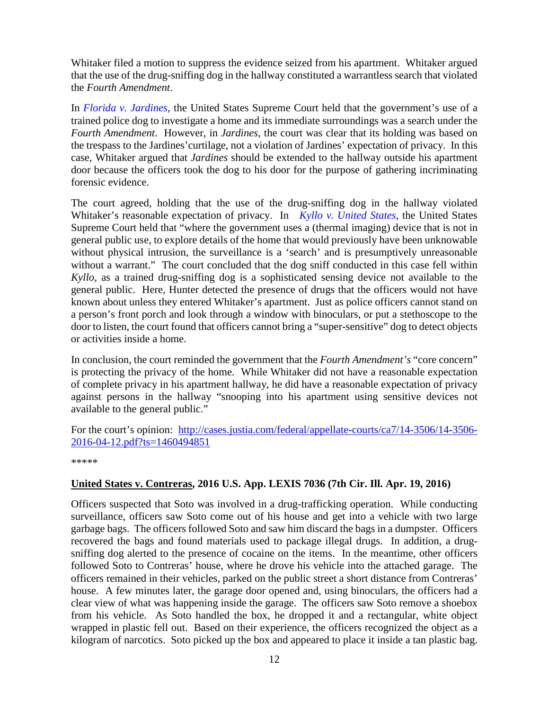Whitaker filed a motion to suppress the evidence seized from his apartment. Whitaker argued that the use of the drug-sniffing dog in the hallway constituted a warrantless search that violated the *Fourth Amendment*.

In *[Florida v. Jardines](http://www.supremecourt.gov/opinions/12pdf/11-564_5426.pdf)*, the United States Supreme Court held that the government's use of a trained police dog to investigate a home and its immediate surroundings was a search under the *Fourth Amendment*. However, in *Jardines*, the court was clear that its holding was based on the trespass to the Jardines'curtilage, not a violation of Jardines' expectation of privacy. In this case, Whitaker argued that *Jardines* should be extended to the hallway outside his apartment door because the officers took the dog to his door for the purpose of gathering incriminating forensic evidence.

The court agreed, holding that the use of the drug-sniffing dog in the hallway violated Whitaker's reasonable expectation of privacy. In *[Kyllo v. United States](https://supreme.justia.com/cases/federal/us/533/27/case.pdf)*, the United States Supreme Court held that "where the government uses a (thermal imaging) device that is not in general public use, to explore details of the home that would previously have been unknowable without physical intrusion, the surveillance is a 'search' and is presumptively unreasonable without a warrant." The court concluded that the dog sniff conducted in this case fell within *Kyllo*, as a trained drug-sniffing dog is a sophisticated sensing device not available to the general public. Here, Hunter detected the presence of drugs that the officers would not have known about unless they entered Whitaker's apartment. Just as police officers cannot stand on a person's front porch and look through a window with binoculars, or put a stethoscope to the door to listen, the court found that officers cannot bring a "super-sensitive" dog to detect objects or activities inside a home.

In conclusion, the court reminded the government that the *Fourth Amendment's* "core concern" is protecting the privacy of the home. While Whitaker did not have a reasonable expectation of complete privacy in his apartment hallway, he did have a reasonable expectation of privacy against persons in the hallway "snooping into his apartment using sensitive devices not available to the general public."

For the court's opinion: [http://cases.justia.com/federal/appellate-courts/ca7/14-3506/14-3506-](http://cases.justia.com/federal/appellate-courts/ca7/14-3506/14-3506-2016-04-12.pdf?ts=1460494851) [2016-04-12.pdf?ts=1460494851](http://cases.justia.com/federal/appellate-courts/ca7/14-3506/14-3506-2016-04-12.pdf?ts=1460494851)

\*\*\*\*\*

#### <span id="page-11-0"></span>**United States v. Contreras, 2016 U.S. App. LEXIS 7036 (7th Cir. Ill. Apr. 19, 2016)**

Officers suspected that Soto was involved in a drug-trafficking operation. While conducting surveillance, officers saw Soto come out of his house and get into a vehicle with two large garbage bags. The officers followed Soto and saw him discard the bags in a dumpster. Officers recovered the bags and found materials used to package illegal drugs. In addition, a drugsniffing dog alerted to the presence of cocaine on the items. In the meantime, other officers followed Soto to Contreras' house, where he drove his vehicle into the attached garage. The officers remained in their vehicles, parked on the public street a short distance from Contreras' house. A few minutes later, the garage door opened and, using binoculars, the officers had a clear view of what was happening inside the garage. The officers saw Soto remove a shoebox from his vehicle. As Soto handled the box, he dropped it and a rectangular, white object wrapped in plastic fell out. Based on their experience, the officers recognized the object as a kilogram of narcotics. Soto picked up the box and appeared to place it inside a tan plastic bag.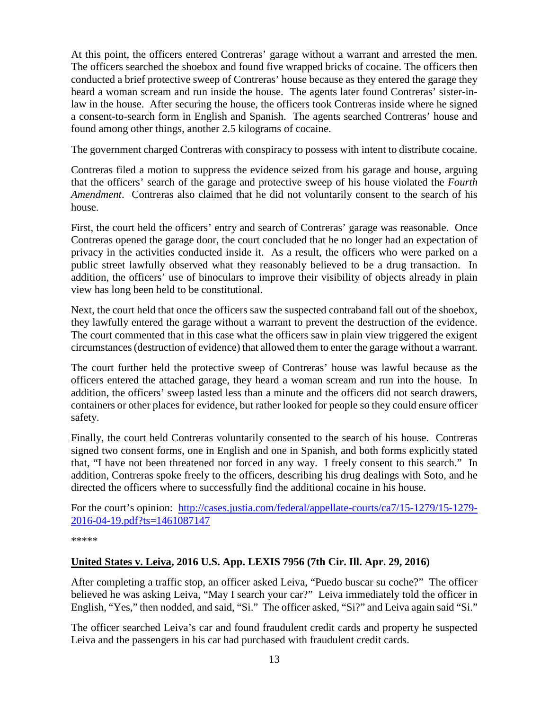At this point, the officers entered Contreras' garage without a warrant and arrested the men. The officers searched the shoebox and found five wrapped bricks of cocaine. The officers then conducted a brief protective sweep of Contreras' house because as they entered the garage they heard a woman scream and run inside the house. The agents later found Contreras' sister-inlaw in the house. After securing the house, the officers took Contreras inside where he signed a consent-to-search form in English and Spanish. The agents searched Contreras' house and found among other things, another 2.5 kilograms of cocaine.

The government charged Contreras with conspiracy to possess with intent to distribute cocaine.

Contreras filed a motion to suppress the evidence seized from his garage and house, arguing that the officers' search of the garage and protective sweep of his house violated the *Fourth Amendment*. Contreras also claimed that he did not voluntarily consent to the search of his house.

First, the court held the officers' entry and search of Contreras' garage was reasonable. Once Contreras opened the garage door, the court concluded that he no longer had an expectation of privacy in the activities conducted inside it. As a result, the officers who were parked on a public street lawfully observed what they reasonably believed to be a drug transaction. In addition, the officers' use of binoculars to improve their visibility of objects already in plain view has long been held to be constitutional.

Next, the court held that once the officers saw the suspected contraband fall out of the shoebox, they lawfully entered the garage without a warrant to prevent the destruction of the evidence. The court commented that in this case what the officers saw in plain view triggered the exigent circumstances (destruction of evidence) that allowed them to enter the garage without a warrant.

The court further held the protective sweep of Contreras' house was lawful because as the officers entered the attached garage, they heard a woman scream and run into the house. In addition, the officers' sweep lasted less than a minute and the officers did not search drawers, containers or other places for evidence, but rather looked for people so they could ensure officer safety.

Finally, the court held Contreras voluntarily consented to the search of his house. Contreras signed two consent forms, one in English and one in Spanish, and both forms explicitly stated that, "I have not been threatened nor forced in any way. I freely consent to this search." In addition, Contreras spoke freely to the officers, describing his drug dealings with Soto, and he directed the officers where to successfully find the additional cocaine in his house.

For the court's opinion: [http://cases.justia.com/federal/appellate-courts/ca7/15-1279/15-1279-](http://cases.justia.com/federal/appellate-courts/ca7/15-1279/15-1279-2016-04-19.pdf?ts=1461087147) [2016-04-19.pdf?ts=1461087147](http://cases.justia.com/federal/appellate-courts/ca7/15-1279/15-1279-2016-04-19.pdf?ts=1461087147)

\*\*\*\*\*

#### <span id="page-12-0"></span>**United States v. Leiva, 2016 U.S. App. LEXIS 7956 (7th Cir. Ill. Apr. 29, 2016)**

After completing a traffic stop, an officer asked Leiva, "Puedo buscar su coche?" The officer believed he was asking Leiva, "May I search your car?" Leiva immediately told the officer in English, "Yes," then nodded, and said, "Si." The officer asked, "Si?" and Leiva again said "Si."

The officer searched Leiva's car and found fraudulent credit cards and property he suspected Leiva and the passengers in his car had purchased with fraudulent credit cards.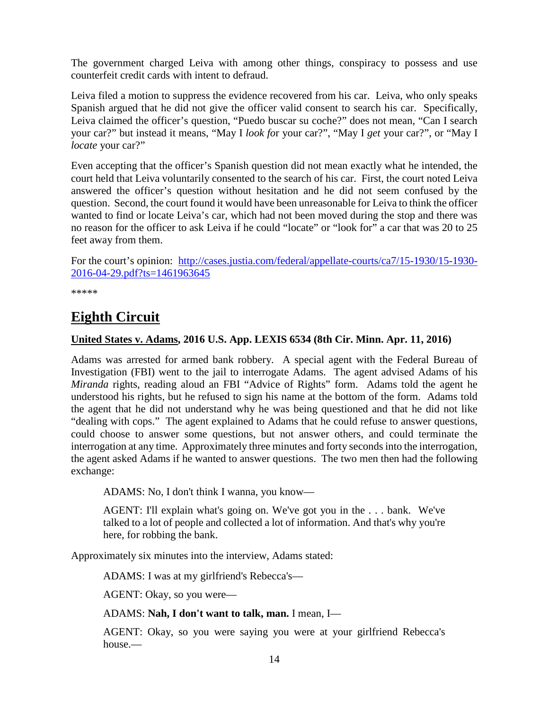The government charged Leiva with among other things, conspiracy to possess and use counterfeit credit cards with intent to defraud.

Leiva filed a motion to suppress the evidence recovered from his car. Leiva, who only speaks Spanish argued that he did not give the officer valid consent to search his car. Specifically, Leiva claimed the officer's question, "Puedo buscar su coche?" does not mean, "Can I search your car?" but instead it means, "May I *look fo*r your car?", "May I *get* your car?", or "May I *locate* your car?"

Even accepting that the officer's Spanish question did not mean exactly what he intended, the court held that Leiva voluntarily consented to the search of his car. First, the court noted Leiva answered the officer's question without hesitation and he did not seem confused by the question. Second, the court found it would have been unreasonable for Leiva to think the officer wanted to find or locate Leiva's car, which had not been moved during the stop and there was no reason for the officer to ask Leiva if he could "locate" or "look for" a car that was 20 to 25 feet away from them.

For the court's opinion: [http://cases.justia.com/federal/appellate-courts/ca7/15-1930/15-1930-](http://cases.justia.com/federal/appellate-courts/ca7/15-1930/15-1930-2016-04-29.pdf?ts=1461963645) [2016-04-29.pdf?ts=1461963645](http://cases.justia.com/federal/appellate-courts/ca7/15-1930/15-1930-2016-04-29.pdf?ts=1461963645)

\*\*\*\*\*

# <span id="page-13-0"></span>**Eighth Circuit**

#### <span id="page-13-1"></span>**United States v. Adams, 2016 U.S. App. LEXIS 6534 (8th Cir. Minn. Apr. 11, 2016)**

Adams was arrested for armed bank robbery. A special agent with the Federal Bureau of Investigation (FBI) went to the jail to interrogate Adams. The agent advised Adams of his *Miranda* rights, reading aloud an FBI "Advice of Rights" form. Adams told the agent he understood his rights, but he refused to sign his name at the bottom of the form. Adams told the agent that he did not understand why he was being questioned and that he did not like "dealing with cops." The agent explained to Adams that he could refuse to answer questions, could choose to answer some questions, but not answer others, and could terminate the interrogation at any time. Approximately three minutes and forty seconds into the interrogation, the agent asked Adams if he wanted to answer questions. The two men then had the following exchange:

ADAMS: No, I don't think I wanna, you know—

AGENT: I'll explain what's going on. We've got you in the . . . bank. We've talked to a lot of people and collected a lot of information. And that's why you're here, for robbing the bank.

Approximately six minutes into the interview, Adams stated:

ADAMS: I was at my girlfriend's Rebecca's—

AGENT: Okay, so you were—

ADAMS: **Nah, I don't want to talk, man.** I mean, I—

AGENT: Okay, so you were saying you were at your girlfriend Rebecca's house.—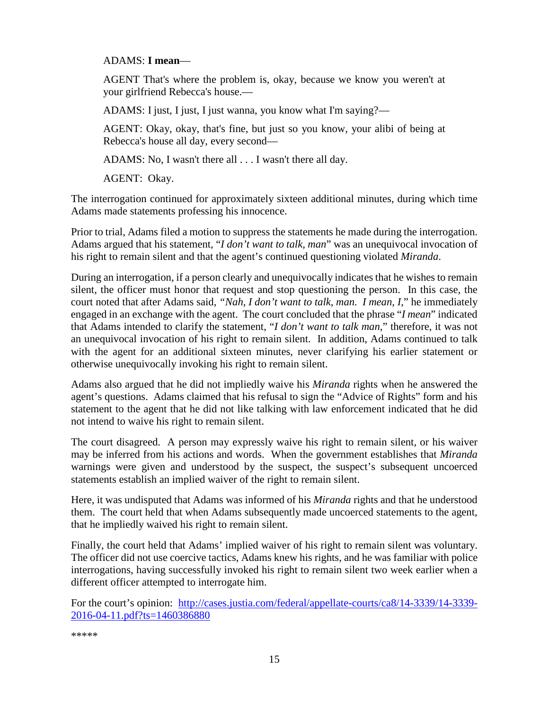#### ADAMS: **I mean**—

AGENT That's where the problem is, okay, because we know you weren't at your girlfriend Rebecca's house.—

ADAMS: I just, I just, I just wanna, you know what I'm saying?—

AGENT: Okay, okay, that's fine, but just so you know, your alibi of being at Rebecca's house all day, every second—

ADAMS: No, I wasn't there all . . . I wasn't there all day.

AGENT: Okay.

The interrogation continued for approximately sixteen additional minutes, during which time Adams made statements professing his innocence.

Prior to trial, Adams filed a motion to suppress the statements he made during the interrogation. Adams argued that his statement, "*I don't want to talk, man*" was an unequivocal invocation of his right to remain silent and that the agent's continued questioning violated *Miranda*.

During an interrogation, if a person clearly and unequivocally indicates that he wishes to remain silent, the officer must honor that request and stop questioning the person. In this case, the court noted that after Adams said, *"Nah, I don't want to talk, man. I mean, I*," he immediately engaged in an exchange with the agent. The court concluded that the phrase "*I mean*" indicated that Adams intended to clarify the statement, "*I don't want to talk man*," therefore, it was not an unequivocal invocation of his right to remain silent. In addition, Adams continued to talk with the agent for an additional sixteen minutes, never clarifying his earlier statement or otherwise unequivocally invoking his right to remain silent.

Adams also argued that he did not impliedly waive his *Miranda* rights when he answered the agent's questions. Adams claimed that his refusal to sign the "Advice of Rights" form and his statement to the agent that he did not like talking with law enforcement indicated that he did not intend to waive his right to remain silent.

The court disagreed. A person may expressly waive his right to remain silent, or his waiver may be inferred from his actions and words. When the government establishes that *Miranda* warnings were given and understood by the suspect, the suspect's subsequent uncoerced statements establish an implied waiver of the right to remain silent.

Here, it was undisputed that Adams was informed of his *Miranda* rights and that he understood them. The court held that when Adams subsequently made uncoerced statements to the agent, that he impliedly waived his right to remain silent.

Finally, the court held that Adams' implied waiver of his right to remain silent was voluntary. The officer did not use coercive tactics, Adams knew his rights, and he was familiar with police interrogations, having successfully invoked his right to remain silent two week earlier when a different officer attempted to interrogate him.

For the court's opinion: [http://cases.justia.com/federal/appellate-courts/ca8/14-3339/14-3339-](http://cases.justia.com/federal/appellate-courts/ca8/14-3339/14-3339-2016-04-11.pdf?ts=1460386880) [2016-04-11.pdf?ts=1460386880](http://cases.justia.com/federal/appellate-courts/ca8/14-3339/14-3339-2016-04-11.pdf?ts=1460386880)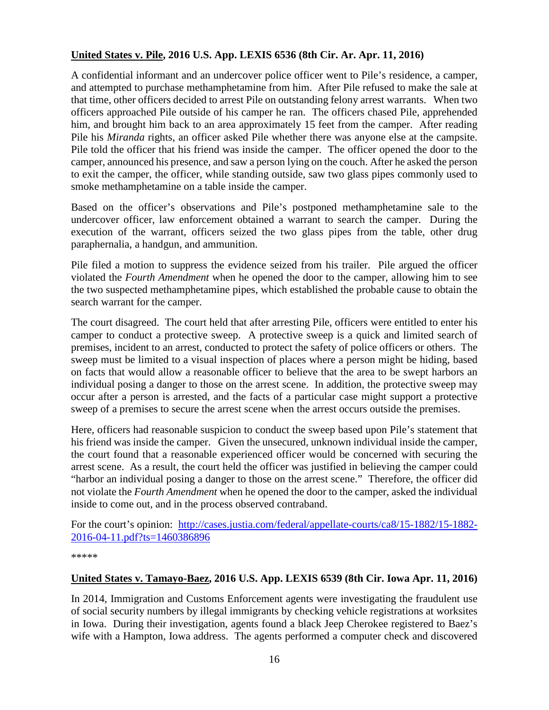#### <span id="page-15-0"></span>**United States v. Pile, 2016 U.S. App. LEXIS 6536 (8th Cir. Ar. Apr. 11, 2016)**

A confidential informant and an undercover police officer went to Pile's residence, a camper, and attempted to purchase methamphetamine from him. After Pile refused to make the sale at that time, other officers decided to arrest Pile on outstanding felony arrest warrants. When two officers approached Pile outside of his camper he ran. The officers chased Pile, apprehended him, and brought him back to an area approximately 15 feet from the camper. After reading Pile his *Miranda* rights, an officer asked Pile whether there was anyone else at the campsite. Pile told the officer that his friend was inside the camper. The officer opened the door to the camper, announced his presence, and saw a person lying on the couch. After he asked the person to exit the camper, the officer, while standing outside, saw two glass pipes commonly used to smoke methamphetamine on a table inside the camper.

Based on the officer's observations and Pile's postponed methamphetamine sale to the undercover officer, law enforcement obtained a warrant to search the camper. During the execution of the warrant, officers seized the two glass pipes from the table, other drug paraphernalia, a handgun, and ammunition.

Pile filed a motion to suppress the evidence seized from his trailer. Pile argued the officer violated the *Fourth Amendment* when he opened the door to the camper, allowing him to see the two suspected methamphetamine pipes, which established the probable cause to obtain the search warrant for the camper.

The court disagreed. The court held that after arresting Pile, officers were entitled to enter his camper to conduct a protective sweep. A protective sweep is a quick and limited search of premises, incident to an arrest, conducted to protect the safety of police officers or others. The sweep must be limited to a visual inspection of places where a person might be hiding, based on facts that would allow a reasonable officer to believe that the area to be swept harbors an individual posing a danger to those on the arrest scene. In addition, the protective sweep may occur after a person is arrested, and the facts of a particular case might support a protective sweep of a premises to secure the arrest scene when the arrest occurs outside the premises.

Here, officers had reasonable suspicion to conduct the sweep based upon Pile's statement that his friend was inside the camper. Given the unsecured, unknown individual inside the camper, the court found that a reasonable experienced officer would be concerned with securing the arrest scene. As a result, the court held the officer was justified in believing the camper could "harbor an individual posing a danger to those on the arrest scene." Therefore, the officer did not violate the *Fourth Amendment* when he opened the door to the camper, asked the individual inside to come out, and in the process observed contraband.

For the court's opinion: [http://cases.justia.com/federal/appellate-courts/ca8/15-1882/15-1882-](http://cases.justia.com/federal/appellate-courts/ca8/15-1882/15-1882-2016-04-11.pdf?ts=1460386896) [2016-04-11.pdf?ts=1460386896](http://cases.justia.com/federal/appellate-courts/ca8/15-1882/15-1882-2016-04-11.pdf?ts=1460386896)

\*\*\*\*\*

#### <span id="page-15-1"></span>**United States v. Tamayo-Baez, 2016 U.S. App. LEXIS 6539 (8th Cir. Iowa Apr. 11, 2016)**

In 2014, Immigration and Customs Enforcement agents were investigating the fraudulent use of social security numbers by illegal immigrants by checking vehicle registrations at worksites in Iowa. During their investigation, agents found a black Jeep Cherokee registered to Baez's wife with a Hampton, Iowa address. The agents performed a computer check and discovered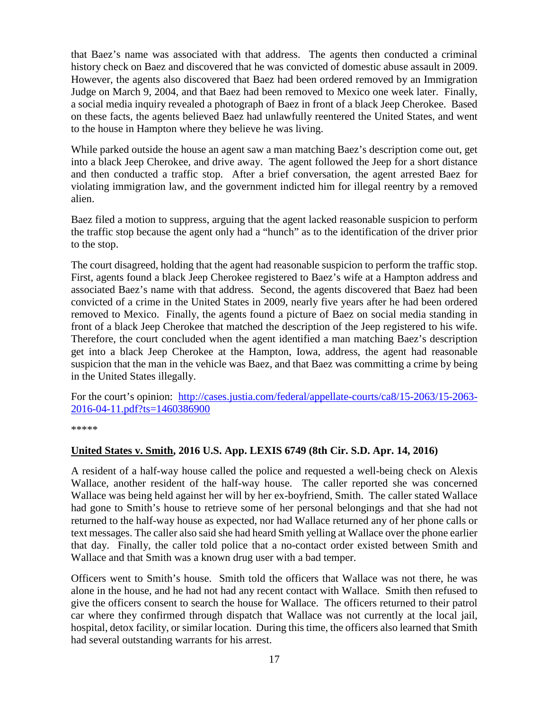that Baez's name was associated with that address. The agents then conducted a criminal history check on Baez and discovered that he was convicted of domestic abuse assault in 2009. However, the agents also discovered that Baez had been ordered removed by an Immigration Judge on March 9, 2004, and that Baez had been removed to Mexico one week later. Finally, a social media inquiry revealed a photograph of Baez in front of a black Jeep Cherokee. Based on these facts, the agents believed Baez had unlawfully reentered the United States, and went to the house in Hampton where they believe he was living.

While parked outside the house an agent saw a man matching Baez's description come out, get into a black Jeep Cherokee, and drive away. The agent followed the Jeep for a short distance and then conducted a traffic stop. After a brief conversation, the agent arrested Baez for violating immigration law, and the government indicted him for illegal reentry by a removed alien.

Baez filed a motion to suppress, arguing that the agent lacked reasonable suspicion to perform the traffic stop because the agent only had a "hunch" as to the identification of the driver prior to the stop.

The court disagreed, holding that the agent had reasonable suspicion to perform the traffic stop. First, agents found a black Jeep Cherokee registered to Baez's wife at a Hampton address and associated Baez's name with that address. Second, the agents discovered that Baez had been convicted of a crime in the United States in 2009, nearly five years after he had been ordered removed to Mexico. Finally, the agents found a picture of Baez on social media standing in front of a black Jeep Cherokee that matched the description of the Jeep registered to his wife. Therefore, the court concluded when the agent identified a man matching Baez's description get into a black Jeep Cherokee at the Hampton, Iowa, address, the agent had reasonable suspicion that the man in the vehicle was Baez, and that Baez was committing a crime by being in the United States illegally.

For the court's opinion: [http://cases.justia.com/federal/appellate-courts/ca8/15-2063/15-2063-](http://cases.justia.com/federal/appellate-courts/ca8/15-2063/15-2063-2016-04-11.pdf?ts=1460386900) [2016-04-11.pdf?ts=1460386900](http://cases.justia.com/federal/appellate-courts/ca8/15-2063/15-2063-2016-04-11.pdf?ts=1460386900)

\*\*\*\*\*

#### <span id="page-16-0"></span>**United States v. Smith, 2016 U.S. App. LEXIS 6749 (8th Cir. S.D. Apr. 14, 2016)**

A resident of a half-way house called the police and requested a well-being check on Alexis Wallace, another resident of the half-way house. The caller reported she was concerned Wallace was being held against her will by her ex-boyfriend, Smith. The caller stated Wallace had gone to Smith's house to retrieve some of her personal belongings and that she had not returned to the half-way house as expected, nor had Wallace returned any of her phone calls or text messages. The caller also said she had heard Smith yelling at Wallace over the phone earlier that day. Finally, the caller told police that a no-contact order existed between Smith and Wallace and that Smith was a known drug user with a bad temper.

Officers went to Smith's house. Smith told the officers that Wallace was not there, he was alone in the house, and he had not had any recent contact with Wallace. Smith then refused to give the officers consent to search the house for Wallace. The officers returned to their patrol car where they confirmed through dispatch that Wallace was not currently at the local jail, hospital, detox facility, or similar location. During this time, the officers also learned that Smith had several outstanding warrants for his arrest.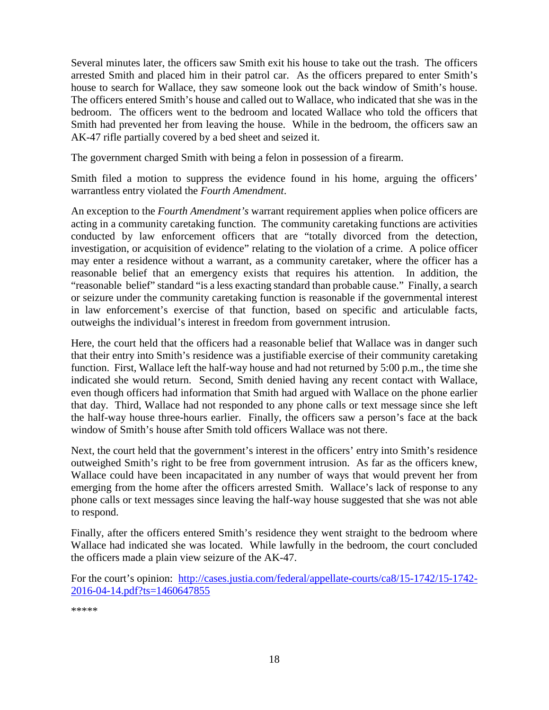Several minutes later, the officers saw Smith exit his house to take out the trash. The officers arrested Smith and placed him in their patrol car. As the officers prepared to enter Smith's house to search for Wallace, they saw someone look out the back window of Smith's house. The officers entered Smith's house and called out to Wallace, who indicated that she was in the bedroom. The officers went to the bedroom and located Wallace who told the officers that Smith had prevented her from leaving the house. While in the bedroom, the officers saw an AK-47 rifle partially covered by a bed sheet and seized it.

The government charged Smith with being a felon in possession of a firearm.

Smith filed a motion to suppress the evidence found in his home, arguing the officers' warrantless entry violated the *Fourth Amendment*.

An exception to the *Fourth Amendment's* warrant requirement applies when police officers are acting in a community caretaking function. The community caretaking functions are activities conducted by law enforcement officers that are "totally divorced from the detection, investigation, or acquisition of evidence" relating to the violation of a crime. A police officer may enter a residence without a warrant, as a community caretaker, where the officer has a reasonable belief that an emergency exists that requires his attention. In addition, the "reasonable belief" standard "is a less exacting standard than probable cause." Finally, a search or seizure under the community caretaking function is reasonable if the governmental interest in law enforcement's exercise of that function, based on specific and articulable facts, outweighs the individual's interest in freedom from government intrusion.

Here, the court held that the officers had a reasonable belief that Wallace was in danger such that their entry into Smith's residence was a justifiable exercise of their community caretaking function. First, Wallace left the half-way house and had not returned by 5:00 p.m., the time she indicated she would return. Second, Smith denied having any recent contact with Wallace, even though officers had information that Smith had argued with Wallace on the phone earlier that day. Third, Wallace had not responded to any phone calls or text message since she left the half-way house three-hours earlier. Finally, the officers saw a person's face at the back window of Smith's house after Smith told officers Wallace was not there.

Next, the court held that the government's interest in the officers' entry into Smith's residence outweighed Smith's right to be free from government intrusion. As far as the officers knew, Wallace could have been incapacitated in any number of ways that would prevent her from emerging from the home after the officers arrested Smith. Wallace's lack of response to any phone calls or text messages since leaving the half-way house suggested that she was not able to respond.

Finally, after the officers entered Smith's residence they went straight to the bedroom where Wallace had indicated she was located. While lawfully in the bedroom, the court concluded the officers made a plain view seizure of the AK-47.

For the court's opinion: [http://cases.justia.com/federal/appellate-courts/ca8/15-1742/15-1742-](http://cases.justia.com/federal/appellate-courts/ca8/15-1742/15-1742-2016-04-14.pdf?ts=1460647855) [2016-04-14.pdf?ts=1460647855](http://cases.justia.com/federal/appellate-courts/ca8/15-1742/15-1742-2016-04-14.pdf?ts=1460647855)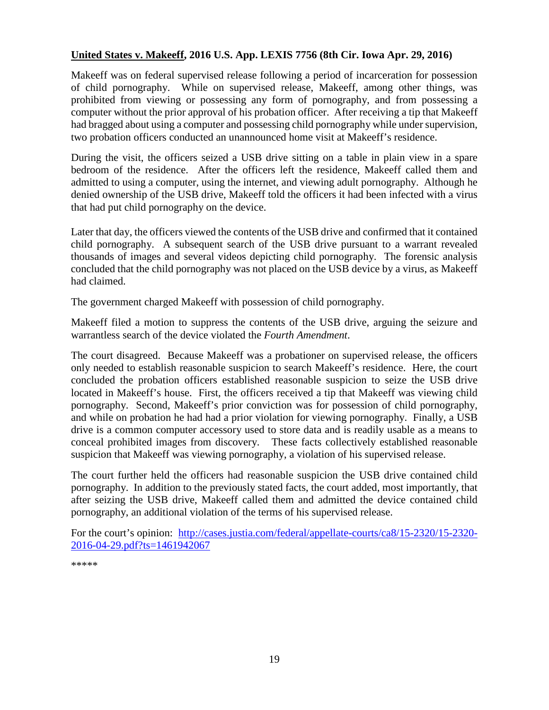#### <span id="page-18-0"></span>**United States v. Makeeff, 2016 U.S. App. LEXIS 7756 (8th Cir. Iowa Apr. 29, 2016)**

Makeeff was on federal supervised release following a period of incarceration for possession of child pornography. While on supervised release, Makeeff, among other things, was prohibited from viewing or possessing any form of pornography, and from possessing a computer without the prior approval of his probation officer. After receiving a tip that Makeeff had bragged about using a computer and possessing child pornography while under supervision, two probation officers conducted an unannounced home visit at Makeeff's residence.

During the visit, the officers seized a USB drive sitting on a table in plain view in a spare bedroom of the residence. After the officers left the residence, Makeeff called them and admitted to using a computer, using the internet, and viewing adult pornography. Although he denied ownership of the USB drive, Makeeff told the officers it had been infected with a virus that had put child pornography on the device.

Later that day, the officers viewed the contents of the USB drive and confirmed that it contained child pornography. A subsequent search of the USB drive pursuant to a warrant revealed thousands of images and several videos depicting child pornography. The forensic analysis concluded that the child pornography was not placed on the USB device by a virus, as Makeeff had claimed.

The government charged Makeeff with possession of child pornography.

Makeeff filed a motion to suppress the contents of the USB drive, arguing the seizure and warrantless search of the device violated the *Fourth Amendment*.

The court disagreed. Because Makeeff was a probationer on supervised release, the officers only needed to establish reasonable suspicion to search Makeeff's residence. Here, the court concluded the probation officers established reasonable suspicion to seize the USB drive located in Makeeff's house. First, the officers received a tip that Makeeff was viewing child pornography. Second, Makeeff's prior conviction was for possession of child pornography, and while on probation he had had a prior violation for viewing pornography. Finally, a USB drive is a common computer accessory used to store data and is readily usable as a means to conceal prohibited images from discovery. These facts collectively established reasonable suspicion that Makeeff was viewing pornography, a violation of his supervised release.

The court further held the officers had reasonable suspicion the USB drive contained child pornography. In addition to the previously stated facts, the court added, most importantly, that after seizing the USB drive, Makeeff called them and admitted the device contained child pornography, an additional violation of the terms of his supervised release.

For the court's opinion: [http://cases.justia.com/federal/appellate-courts/ca8/15-2320/15-2320-](http://cases.justia.com/federal/appellate-courts/ca8/15-2320/15-2320-2016-04-29.pdf?ts=1461942067) [2016-04-29.pdf?ts=1461942067](http://cases.justia.com/federal/appellate-courts/ca8/15-2320/15-2320-2016-04-29.pdf?ts=1461942067)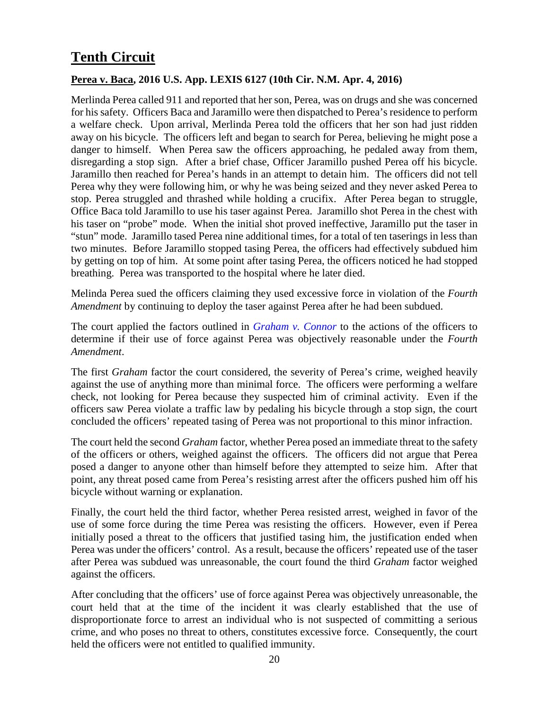# <span id="page-19-0"></span>**Tenth Circuit**

#### <span id="page-19-1"></span>**Perea v. Baca, 2016 U.S. App. LEXIS 6127 (10th Cir. N.M. Apr. 4, 2016)**

Merlinda Perea called 911 and reported that her son, Perea, was on drugs and she was concerned for his safety. Officers Baca and Jaramillo were then dispatched to Perea's residence to perform a welfare check. Upon arrival, Merlinda Perea told the officers that her son had just ridden away on his bicycle. The officers left and began to search for Perea, believing he might pose a danger to himself. When Perea saw the officers approaching, he pedaled away from them, disregarding a stop sign. After a brief chase, Officer Jaramillo pushed Perea off his bicycle. Jaramillo then reached for Perea's hands in an attempt to detain him. The officers did not tell Perea why they were following him, or why he was being seized and they never asked Perea to stop. Perea struggled and thrashed while holding a crucifix. After Perea began to struggle, Office Baca told Jaramillo to use his taser against Perea. Jaramillo shot Perea in the chest with his taser on "probe" mode. When the initial shot proved ineffective, Jaramillo put the taser in "stun" mode. Jaramillo tased Perea nine additional times, for a total of ten taserings in less than two minutes. Before Jaramillo stopped tasing Perea, the officers had effectively subdued him by getting on top of him. At some point after tasing Perea, the officers noticed he had stopped breathing. Perea was transported to the hospital where he later died.

Melinda Perea sued the officers claiming they used excessive force in violation of the *Fourth Amendment* by continuing to deploy the taser against Perea after he had been subdued.

The court applied the factors outlined in *[Graham v. Connor](http://caselaw.findlaw.com/us-supreme-court/490/386.html)* to the actions of the officers to determine if their use of force against Perea was objectively reasonable under the *Fourth Amendment*.

The first *Graham* factor the court considered, the severity of Perea's crime, weighed heavily against the use of anything more than minimal force. The officers were performing a welfare check, not looking for Perea because they suspected him of criminal activity. Even if the officers saw Perea violate a traffic law by pedaling his bicycle through a stop sign, the court concluded the officers' repeated tasing of Perea was not proportional to this minor infraction.

The court held the second *Graham* factor, whether Perea posed an immediate threat to the safety of the officers or others, weighed against the officers. The officers did not argue that Perea posed a danger to anyone other than himself before they attempted to seize him. After that point, any threat posed came from Perea's resisting arrest after the officers pushed him off his bicycle without warning or explanation.

Finally, the court held the third factor, whether Perea resisted arrest, weighed in favor of the use of some force during the time Perea was resisting the officers. However, even if Perea initially posed a threat to the officers that justified tasing him, the justification ended when Perea was under the officers' control. As a result, because the officers' repeated use of the taser after Perea was subdued was unreasonable, the court found the third *Graham* factor weighed against the officers.

After concluding that the officers' use of force against Perea was objectively unreasonable, the court held that at the time of the incident it was clearly established that the use of disproportionate force to arrest an individual who is not suspected of committing a serious crime, and who poses no threat to others, constitutes excessive force. Consequently, the court held the officers were not entitled to qualified immunity.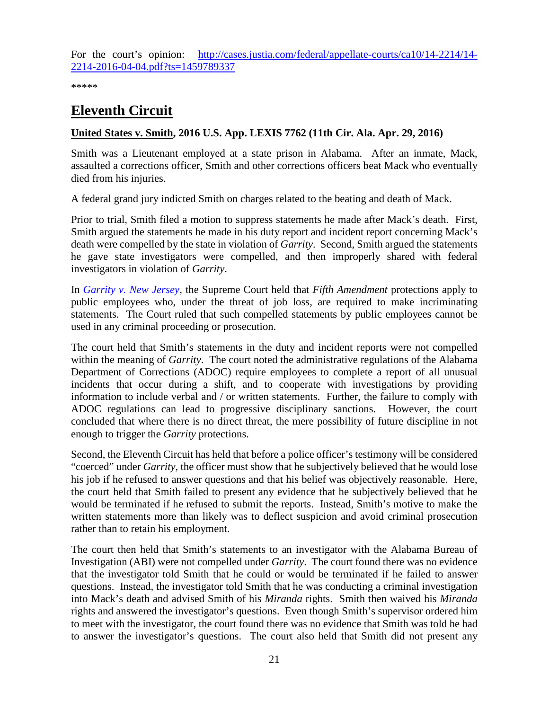For the court's opinion: [http://cases.justia.com/federal/appellate-courts/ca10/14-2214/14-](http://cases.justia.com/federal/appellate-courts/ca10/14-2214/14-2214-2016-04-04.pdf?ts=1459789337) [2214-2016-04-04.pdf?ts=1459789337](http://cases.justia.com/federal/appellate-courts/ca10/14-2214/14-2214-2016-04-04.pdf?ts=1459789337)

\*\*\*\*\*

# <span id="page-20-0"></span>**Eleventh Circuit**

#### <span id="page-20-1"></span>**United States v. Smith, 2016 U.S. App. LEXIS 7762 (11th Cir. Ala. Apr. 29, 2016)**

Smith was a Lieutenant employed at a state prison in Alabama. After an inmate, Mack, assaulted a corrections officer, Smith and other corrections officers beat Mack who eventually died from his injuries.

A federal grand jury indicted Smith on charges related to the beating and death of Mack.

Prior to trial, Smith filed a motion to suppress statements he made after Mack's death. First, Smith argued the statements he made in his duty report and incident report concerning Mack's death were compelled by the state in violation of *Garrity*. Second, Smith argued the statements he gave state investigators were compelled, and then improperly shared with federal investigators in violation of *Garrity*.

In *[Garrity v. New Jersey](http://caselaw.findlaw.com/us-supreme-court/385/493.html)*, the Supreme Court held that *Fifth Amendment* protections apply to public employees who, under the threat of job loss, are required to make incriminating statements. The Court ruled that such compelled statements by public employees cannot be used in any criminal proceeding or prosecution.

The court held that Smith's statements in the duty and incident reports were not compelled within the meaning of *Garrity*. The court noted the administrative regulations of the Alabama Department of Corrections (ADOC) require employees to complete a report of all unusual incidents that occur during a shift, and to cooperate with investigations by providing information to include verbal and / or written statements. Further, the failure to comply with ADOC regulations can lead to progressive disciplinary sanctions. However, the court concluded that where there is no direct threat, the mere possibility of future discipline in not enough to trigger the *Garrity* protections.

Second, the Eleventh Circuit has held that before a police officer's testimony will be considered "coerced" under *Garrity*, the officer must show that he subjectively believed that he would lose his job if he refused to answer questions and that his belief was objectively reasonable. Here, the court held that Smith failed to present any evidence that he subjectively believed that he would be terminated if he refused to submit the reports. Instead, Smith's motive to make the written statements more than likely was to deflect suspicion and avoid criminal prosecution rather than to retain his employment.

The court then held that Smith's statements to an investigator with the Alabama Bureau of Investigation (ABI) were not compelled under *Garrity*. The court found there was no evidence that the investigator told Smith that he could or would be terminated if he failed to answer questions. Instead, the investigator told Smith that he was conducting a criminal investigation into Mack's death and advised Smith of his *Miranda* rights. Smith then waived his *Miranda* rights and answered the investigator's questions. Even though Smith's supervisor ordered him to meet with the investigator, the court found there was no evidence that Smith was told he had to answer the investigator's questions. The court also held that Smith did not present any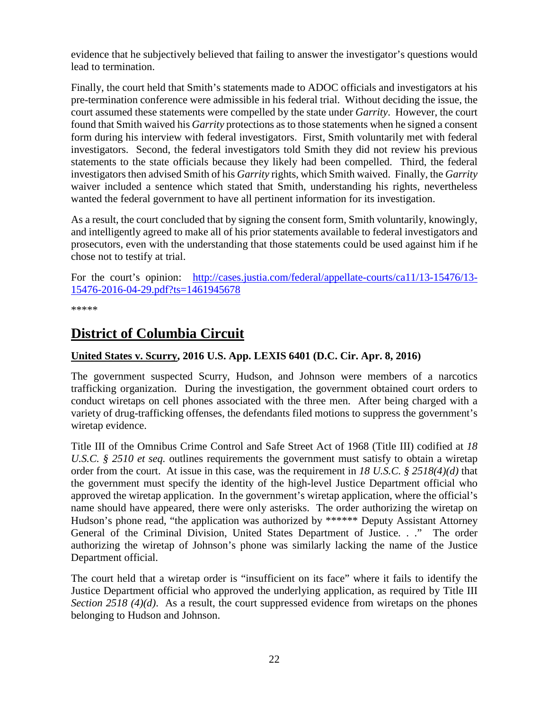evidence that he subjectively believed that failing to answer the investigator's questions would lead to termination.

Finally, the court held that Smith's statements made to ADOC officials and investigators at his pre-termination conference were admissible in his federal trial. Without deciding the issue, the court assumed these statements were compelled by the state under *Garrity*. However, the court found that Smith waived his *Garrity* protections as to those statements when he signed a consent form during his interview with federal investigators. First, Smith voluntarily met with federal investigators. Second, the federal investigators told Smith they did not review his previous statements to the state officials because they likely had been compelled. Third, the federal investigators then advised Smith of his *Garrity* rights, which Smith waived. Finally, the *Garrity*  waiver included a sentence which stated that Smith, understanding his rights, nevertheless wanted the federal government to have all pertinent information for its investigation.

As a result, the court concluded that by signing the consent form, Smith voluntarily, knowingly, and intelligently agreed to make all of his prior statements available to federal investigators and prosecutors, even with the understanding that those statements could be used against him if he chose not to testify at trial.

For the court's opinion: [http://cases.justia.com/federal/appellate-courts/ca11/13-15476/13-](http://cases.justia.com/federal/appellate-courts/ca11/13-15476/13-15476-2016-04-29.pdf?ts=1461945678) [15476-2016-04-29.pdf?ts=1461945678](http://cases.justia.com/federal/appellate-courts/ca11/13-15476/13-15476-2016-04-29.pdf?ts=1461945678)

\*\*\*\*\*

# <span id="page-21-0"></span>**District of Columbia Circuit**

#### <span id="page-21-1"></span>**United States v. Scurry, 2016 U.S. App. LEXIS 6401 (D.C. Cir. Apr. 8, 2016)**

The government suspected Scurry, Hudson, and Johnson were members of a narcotics trafficking organization. During the investigation, the government obtained court orders to conduct wiretaps on cell phones associated with the three men. After being charged with a variety of drug-trafficking offenses, the defendants filed motions to suppress the government's wiretap evidence.

Title III of the Omnibus Crime Control and Safe Street Act of 1968 (Title III) codified at *18 U.S.C. § 2510 et seq.* outlines requirements the government must satisfy to obtain a wiretap order from the court. At issue in this case, was the requirement in *18 U.S.C. § 2518(4)(d)* that the government must specify the identity of the high-level Justice Department official who approved the wiretap application. In the government's wiretap application, where the official's name should have appeared, there were only asterisks. The order authorizing the wiretap on Hudson's phone read, "the application was authorized by \*\*\*\*\*\* Deputy Assistant Attorney General of the Criminal Division, United States Department of Justice. . ." The order authorizing the wiretap of Johnson's phone was similarly lacking the name of the Justice Department official.

The court held that a wiretap order is "insufficient on its face" where it fails to identify the Justice Department official who approved the underlying application, as required by Title III *Section 2518 (4)(d).* As a result, the court suppressed evidence from wiretaps on the phones belonging to Hudson and Johnson.